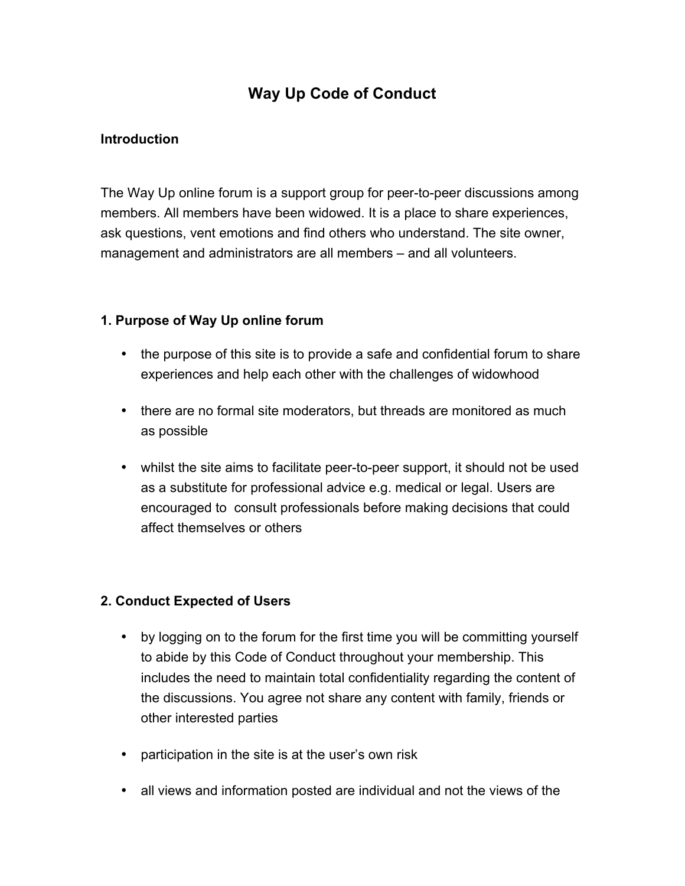# **Way Up Code of Conduct**

## **Introduction**

The Way Up online forum is a support group for peer-to-peer discussions among members. All members have been widowed. It is a place to share experiences, ask questions, vent emotions and find others who understand. The site owner, management and administrators are all members – and all volunteers.

### **1. Purpose of Way Up online forum**

- the purpose of this site is to provide a safe and confidential forum to share experiences and help each other with the challenges of widowhood
- there are no formal site moderators, but threads are monitored as much as possible
- whilst the site aims to facilitate peer-to-peer support, it should not be used as a substitute for professional advice e.g. medical or legal. Users are encouraged to consult professionals before making decisions that could affect themselves or others

#### **2. Conduct Expected of Users**

- by logging on to the forum for the first time you will be committing yourself to abide by this Code of Conduct throughout your membership. This includes the need to maintain total confidentiality regarding the content of the discussions. You agree not share any content with family, friends or other interested parties
- participation in the site is at the user's own risk
- all views and information posted are individual and not the views of the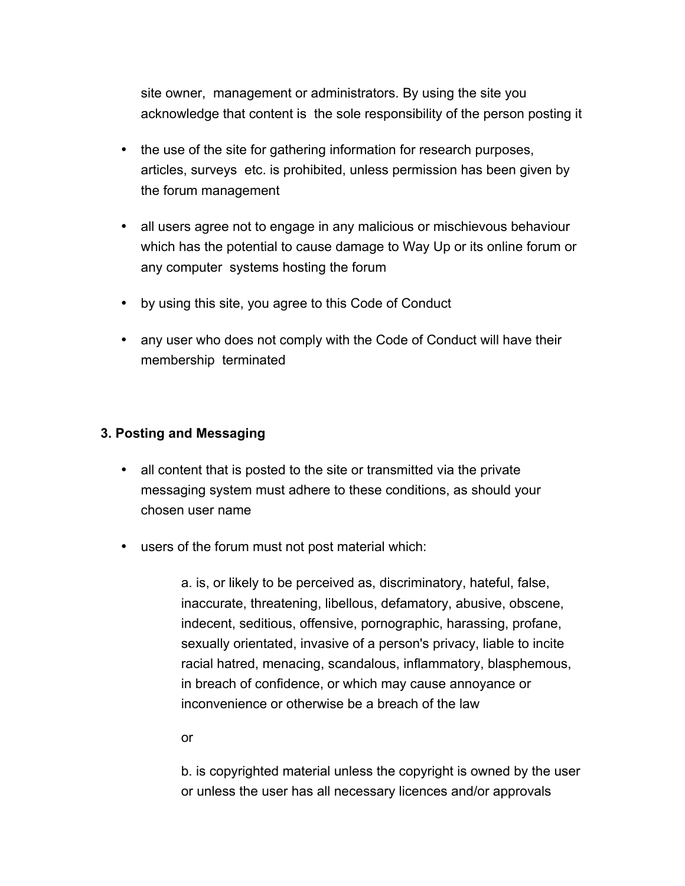site owner, management or administrators. By using the site you acknowledge that content is the sole responsibility of the person posting it

- the use of the site for gathering information for research purposes, articles, surveys etc. is prohibited, unless permission has been given by the forum management
- all users agree not to engage in any malicious or mischievous behaviour which has the potential to cause damage to Way Up or its online forum or any computer systems hosting the forum
- by using this site, you agree to this Code of Conduct
- any user who does not comply with the Code of Conduct will have their membership terminated

#### **3. Posting and Messaging**

- all content that is posted to the site or transmitted via the private messaging system must adhere to these conditions, as should your chosen user name
- users of the forum must not post material which:

a. is, or likely to be perceived as, discriminatory, hateful, false, inaccurate, threatening, libellous, defamatory, abusive, obscene, indecent, seditious, offensive, pornographic, harassing, profane, sexually orientated, invasive of a person's privacy, liable to incite racial hatred, menacing, scandalous, inflammatory, blasphemous, in breach of confidence, or which may cause annoyance or inconvenience or otherwise be a breach of the law

or

b. is copyrighted material unless the copyright is owned by the user or unless the user has all necessary licences and/or approvals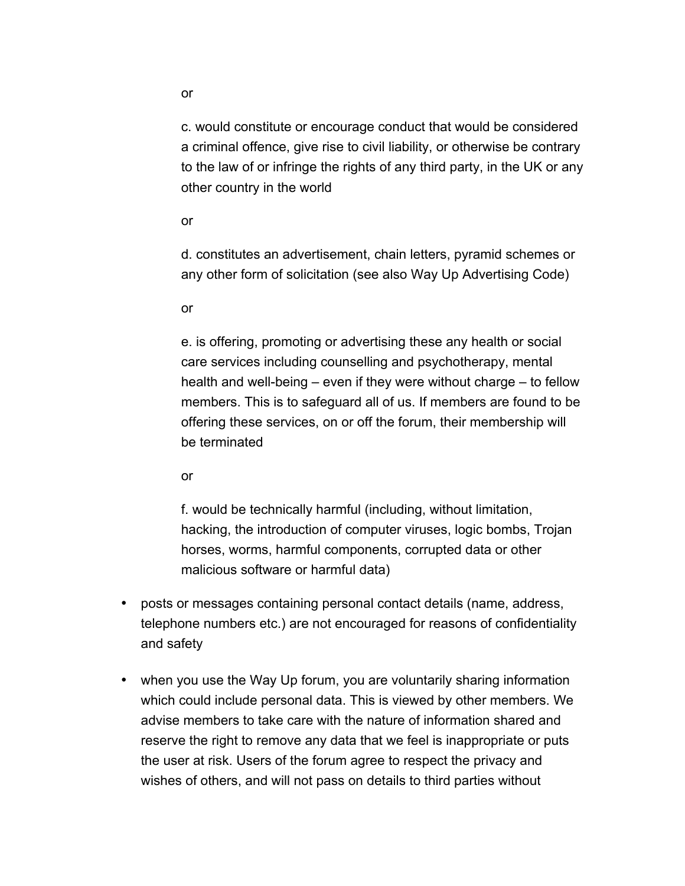c. would constitute or encourage conduct that would be considered a criminal offence, give rise to civil liability, or otherwise be contrary to the law of or infringe the rights of any third party, in the UK or any other country in the world

or

d. constitutes an advertisement, chain letters, pyramid schemes or any other form of solicitation (see also Way Up Advertising Code)

or

e. is offering, promoting or advertising these any health or social care services including counselling and psychotherapy, mental health and well-being – even if they were without charge – to fellow members. This is to safeguard all of us. If members are found to be offering these services, on or off the forum, their membership will be terminated

or

f. would be technically harmful (including, without limitation, hacking, the introduction of computer viruses, logic bombs, Trojan horses, worms, harmful components, corrupted data or other malicious software or harmful data)

- posts or messages containing personal contact details (name, address, telephone numbers etc.) are not encouraged for reasons of confidentiality and safety
- when you use the Way Up forum, you are voluntarily sharing information which could include personal data. This is viewed by other members. We advise members to take care with the nature of information shared and reserve the right to remove any data that we feel is inappropriate or puts the user at risk. Users of the forum agree to respect the privacy and wishes of others, and will not pass on details to third parties without

or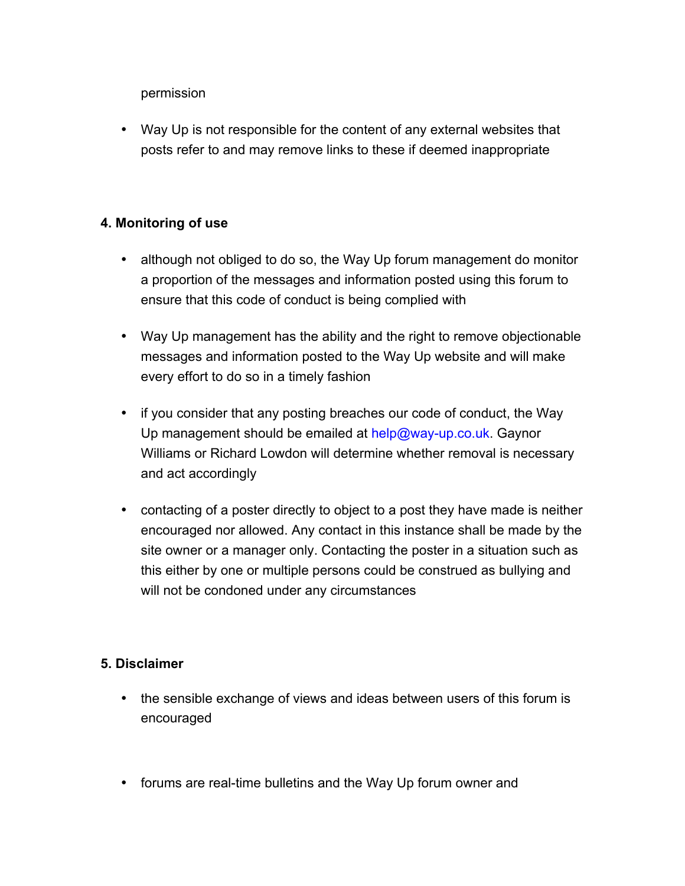permission

• Way Up is not responsible for the content of any external websites that posts refer to and may remove links to these if deemed inappropriate

### **4. Monitoring of use**

- although not obliged to do so, the Way Up forum management do monitor a proportion of the messages and information posted using this forum to ensure that this code of conduct is being complied with
- Way Up management has the ability and the right to remove objectionable messages and information posted to the Way Up website and will make every effort to do so in a timely fashion
- if you consider that any posting breaches our code of conduct, the Way Up management should be emailed at help@way-up.co.uk. Gaynor Williams or Richard Lowdon will determine whether removal is necessary and act accordingly
- contacting of a poster directly to object to a post they have made is neither encouraged nor allowed. Any contact in this instance shall be made by the site owner or a manager only. Contacting the poster in a situation such as this either by one or multiple persons could be construed as bullying and will not be condoned under any circumstances

# **5. Disclaimer**

- the sensible exchange of views and ideas between users of this forum is encouraged
- forums are real-time bulletins and the Way Up forum owner and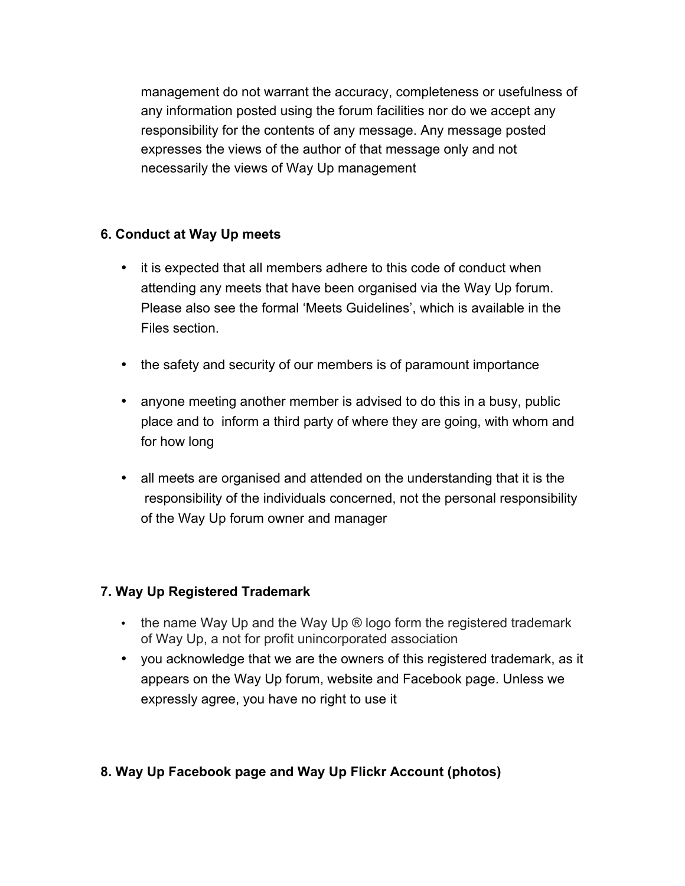management do not warrant the accuracy, completeness or usefulness of any information posted using the forum facilities nor do we accept any responsibility for the contents of any message. Any message posted expresses the views of the author of that message only and not necessarily the views of Way Up management

### **6. Conduct at Way Up meets**

- it is expected that all members adhere to this code of conduct when attending any meets that have been organised via the Way Up forum. Please also see the formal 'Meets Guidelines', which is available in the Files section.
- the safety and security of our members is of paramount importance
- anyone meeting another member is advised to do this in a busy, public place and to inform a third party of where they are going, with whom and for how long
- all meets are organised and attended on the understanding that it is the responsibility of the individuals concerned, not the personal responsibility of the Way Up forum owner and manager

# **7. Way Up Registered Trademark**

- $\cdot$  the name Way Up and the Way Up  $\circledR$  logo form the registered trademark of Way Up, a not for profit unincorporated association
- you acknowledge that we are the owners of this registered trademark, as it appears on the Way Up forum, website and Facebook page. Unless we expressly agree, you have no right to use it

# **8. Way Up Facebook page and Way Up Flickr Account (photos)**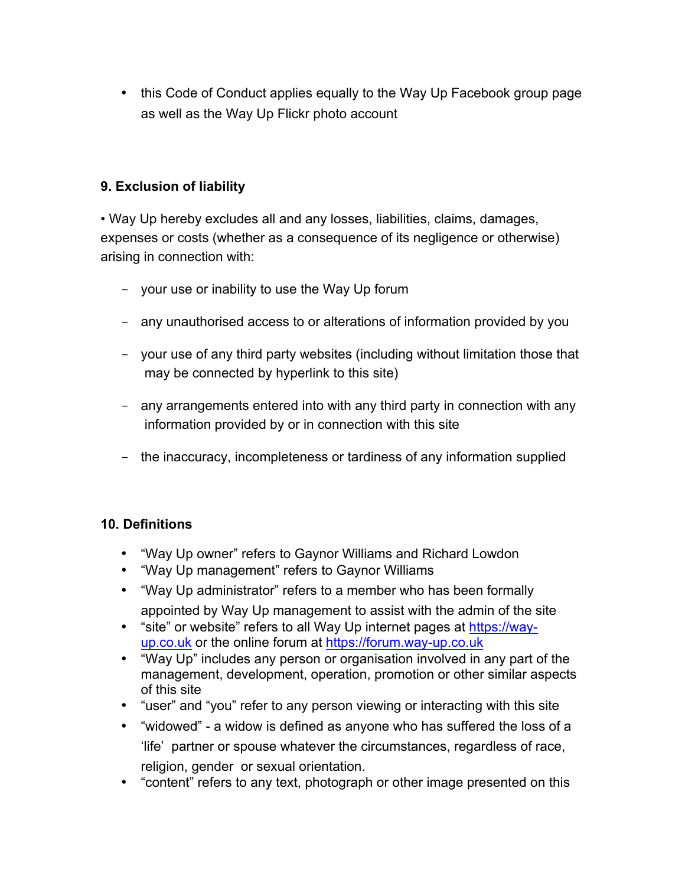• this Code of Conduct applies equally to the Way Up Facebook group page as well as the Way Up Flickr photo account

# **9. Exclusion of liability**

• Way Up hereby excludes all and any losses, liabilities, claims, damages, expenses or costs (whether as a consequence of its negligence or otherwise) arising in connection with:

- your use or inability to use the Way Up forum
- any unauthorised access to or alterations of information provided by you
- your use of any third party websites (including without limitation those that may be connected by hyperlink to this site)
- any arrangements entered into with any third party in connection with any information provided by or in connection with this site
- the inaccuracy, incompleteness or tardiness of any information supplied

#### **10. Definitions**

- "Way Up owner" refers to Gaynor Williams and Richard Lowdon
- "Way Up management" refers to Gaynor Williams
- "Way Up administrator" refers to a member who has been formally appointed by Way Up management to assist with the admin of the site
- "site" or website" refers to all Way Up internet pages at https://wayup.co.uk or the online forum at https://forum.way-up.co.uk
- "Way Up" includes any person or organisation involved in any part of the management, development, operation, promotion or other similar aspects of this site
- "user" and "you" refer to any person viewing or interacting with this site
- "widowed" a widow is defined as anyone who has suffered the loss of a 'life' partner or spouse whatever the circumstances, regardless of race, religion, gender or sexual orientation.
- "content" refers to any text, photograph or other image presented on this